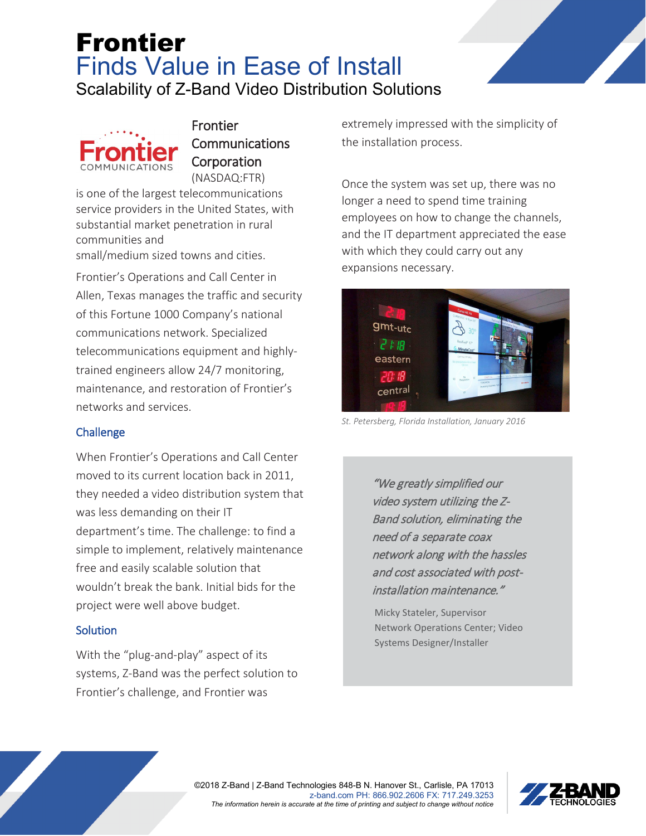# Frontier Finds Value in Ease of Install Scalability of Z-Band Video Distribution Solutions



Frontier **Communications Corporation** (NASDAQ:FTR)

is one of the largest telecommunications service providers in the United States, with substantial market penetration in rural communities and

small/medium sized towns and cities.

Frontier's Operations and Call Center in Allen, Texas manages the traffic and security of this Fortune 1000 Company's national communications network. Specialized telecommunications equipment and highlytrained engineers allow 24/7 monitoring, maintenance, and restoration of Frontier's networks and services.

### **Challenge**

When Frontier's Operations and Call Center moved to its current location back in 2011, they needed a video distribution system that was less demanding on their IT department's time. The challenge: to find a simple to implement, relatively maintenance free and easily scalable solution that wouldn't break the bank. Initial bids for the project were well above budget.

### **Solution**

With the "plug-and-play" aspect of its systems, Z-Band was the perfect solution to Frontier's challenge, and Frontier was

extremely impressed with the simplicity of the installation process.

Once the system was set up, there was no longer a need to spend time training employees on how to change the channels, and the IT department appreciated the ease with which they could carry out any expansions necessary.



*St. Petersberg, Florida Installation, January 2016*

"We greatly simplified our video system utilizing the Z-Band solution, eliminating the need of a separate coax network along with the hassles and cost associated with postinstallation maintenance."

Micky Stateler, Supervisor Network Operations Center; Video Systems Designer/Installer